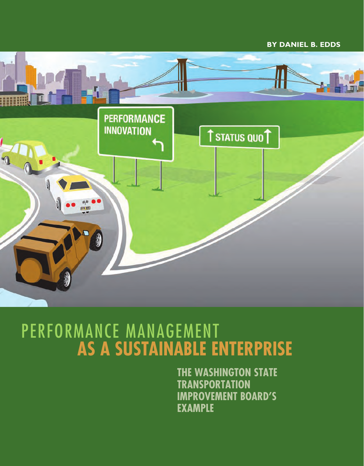# **By Daniel B. Edds**



# Performance Management **as a Sustainable Enterprise**

**The Washington State Transportation Improvement Board's Example**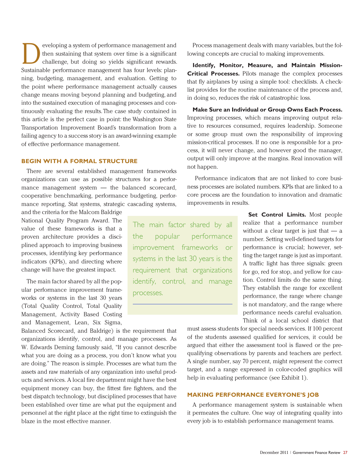eveloping a system of performance management and<br>then sustaining that system over time is a significant<br>challenge, but doing so yields significant rewards. then sustaining that system over time is a significant challenge, but doing so yields significant rewards. Sustainable performance management has four levels: planning, budgeting, management, and evaluation. Getting to the point where performance management actually causes change means moving beyond planning and budgeting, and into the sustained execution of managing processes and continuously evaluating the results. The case study contained in this article is the perfect case in point: the Washington State Transportation Improvement Board's transformation from a failing agency to a success story is an award-winning example of effective performance management.

## **BEGIN WITH A FORMAL STRUCTURE**

There are several established management frameworks organizations can use as possible structures for a performance management system — the balanced scorecard, cooperative benchmarking, performance budgeting, performance reporting, Stat systems, strategic cascading systems,

and the criteria for the Malcom Baldrige National Quality Program Award. The value of these frameworks is that a proven architecture provides a disciplined approach to improving business processes, identifying key performance indicators (KPIs), and directing where change will have the greatest impact.

The main factor shared by all the popular performance improvement frameworks or systems in the last 30 years (Total Quality Control, Total Quality Management, Activity Based Costing and Management, Lean, Six Sigma,

Balanced Scorecard, and Baldrige) is the requirement that organizations identify, control, and manage processes. As W. Edwards Deming famously said, "If you cannot describe what you are doing as a process, you don't know what you are doing." The reason is simple. Processes are what turn the assets and raw materials of any organization into useful products and services. A local fire department might have the best equipment money can buy, the fittest fire fighters, and the best dispatch technology, but disciplined processes that have been established over time are what put the equipment and personnel at the right place at the right time to extinguish the blaze in the most effective manner.

Process management deals with many variables, but the following concepts are crucial to making improvements.

**Identify, Monitor, Measure, and Maintain Mission-Critical Processes.** Pilots manage the complex processes that fly airplanes by using a simple tool: checklists. A checklist provides for the routine maintenance of the process and, in doing so, reduces the risk of catastrophic loss.

**Make Sure an Individual or Group Owns Each Process.**  Improving processes, which means improving output relative to resources consumed, requires leadership. Someone or some group must own the responsibility of improving mission-critical processes. If no one is responsible for a process, it will never change, and however good the manager, output will only improve at the margins. Real innovation will not happen.

 Performance indicators that are not linked to core business processes are isolated numbers. KPIs that are linked to a core process are the foundation to innovation and dramatic improvements in results.

The main factor shared by all the popular performance improvement frameworks or systems in the last 30 years is the requirement that organizations identify, control, and manage processes.

**Set Control Limits.** Most people realize that a performance number without a clear target is just that  $-$  a number. Setting well-defined targets for performance is crucial; however, setting the target range is just as important. A traffic light has three signals: green for go, red for stop, and yellow for caution. Control limits do the same thing. They establish the range for excellent performance, the range where change is not mandatory, and the range where performance needs careful evaluation. Think of a local school district that

must assess students for special needs services. If 100 percent of the students assessed qualified for services, it could be argued that either the assessment tool is flawed or the prequalifying observations by parents and teachers are perfect. A single number, say 70 percent, might represent the correct target, and a range expressed in color-coded graphics will help in evaluating performance (see Exhibit 1).

### **MAKING PERFORMANCE EVERYONE'S JOB**

A performance management system is sustainable when it permeates the culture. One way of integrating quality into every job is to establish performance management teams.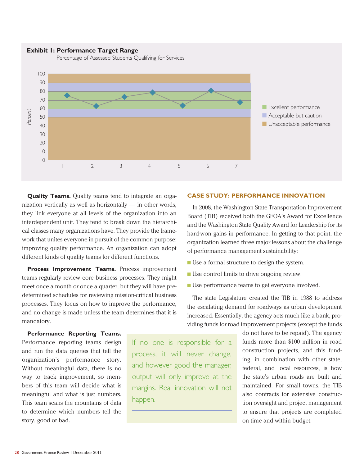

**Quality Teams.** Quality teams tend to integrate an organization vertically as well as horizontally — in other words, they link everyone at all levels of the organization into an interdependent unit. They tend to break down the hierarchical classes many organizations have. They provide the framework that unites everyone in pursuit of the common purpose: improving quality performance. An organization can adopt different kinds of quality teams for different functions.

**Process Improvement Teams.** Process improvement teams regularly review core business processes. They might meet once a month or once a quarter, but they will have predetermined schedules for reviewing mission-critical business processes. They focus on how to improve the performance, and no change is made unless the team determines that it is mandatory.

**CASE STUDY: PERFORMANCE INNOVATION**

In 2008, the Washington State Transportation Improvement Board (TIB) received both the GFOA's Award for Excellence and the Washington State Quality Award for Leadership for its hard-won gains in performance. In getting to that point, the organization learned three major lessons about the challenge of performance management sustainability:

- $\blacksquare$  Use a formal structure to design the system.
- $\blacksquare$  Use control limits to drive ongoing review.
- Use performance teams to get everyone involved.

The state Legislature created the TIB in 1988 to address the escalating demand for roadways as urban development increased. Essentially, the agency acts much like a bank, providing funds for road improvement projects (except the funds

> do not have to be repaid). The agency funds more than \$100 million in road construction projects, and this funding, in combination with other state, federal, and local resources, is how the state's urban roads are built and maintained. For small towns, the TIB also contracts for extensive construction oversight and project management to ensure that projects are completed on time and within budget.

**Performance Reporting Teams.** Performance reporting teams design and run the data queries that tell the organization's performance story. Without meaningful data, there is no way to track improvement, so members of this team will decide what is meaningful and what is just numbers. This team scans the mountains of data to determine which numbers tell the story, good or bad.

If no one is responsible for a process, it will never change, and however good the manager, output will only improve at the margins. Real innovation will not happen.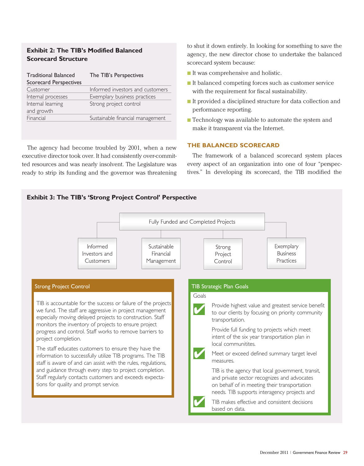# **Exhibit 2: The TIB's Modified Balanced Scorecard Structure**

| <b>Traditional Balanced</b><br><b>Scorecard Perspectives</b> | The TIB's Perspectives           |
|--------------------------------------------------------------|----------------------------------|
| Customer                                                     | Informed investors and customers |
| Internal processes                                           | Exemplary business practices     |
| Internal learning<br>and growth                              | Strong project control           |
| Financial                                                    | Sustainable financial management |

The agency had become troubled by 2001, when a new executive director took over. It had consistently over-committed resources and was nearly insolvent. The Legislature was ready to strip its funding and the governor was threatening to shut it down entirely. In looking for something to save the agency, the new director chose to undertake the balanced scorecard system because:

- $\blacksquare$  It was comprehensive and holistic.
- $\blacksquare$  It balanced competing forces such as customer service with the requirement for fiscal sustainability.
- $\blacksquare$  It provided a disciplined structure for data collection and performance reporting.
- $\blacksquare$  Technology was available to automate the system and make it transparent via the Internet.

# **THE BALANCED SCORECARD**

The framework of a balanced scorecard system places every aspect of an organization into one of four "perspectives." In developing its scorecard, the TIB modified the

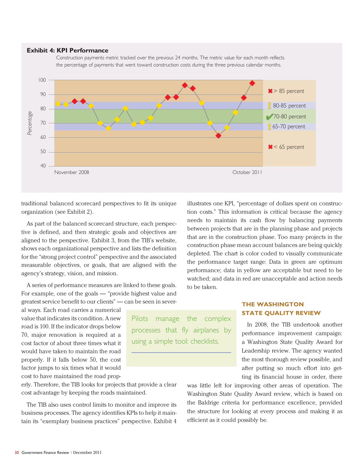#### **Exhibit 4: KPI Performance**





Pilots manage the complex processes that fly airplanes by

using a simple tool: checklists.

traditional balanced scorecard perspectives to fit its unique organization (see Exhibit 2).

As part of the balanced scorecard structure, each perspective is defined, and then strategic goals and objectives are aligned to the perspective. Exhibit 3, from the TIB's website, shows each organizational perspective and lists the definition for the "strong project control" perspective and the associated measurable objectives, or goals, that are aligned with the agency's strategy, vision, and mission.

A series of performance measures are linked to these goals. For example, one of the goals — "provide highest value and greatest service benefit to our clients" — can be seen in sever-

al ways. Each road carries a numerical value that indicates its condition. A new road is 100. If the indicator drops below 70, major renovation is required at a cost factor of about three times what it would have taken to maintain the road properly. If it falls below 50, the cost factor jumps to six times what it would cost to have maintained the road prop-

erly. Therefore, the TIB looks for projects that provide a clear cost advantage by keeping the roads maintained.

The TIB also uses control limits to monitor and improve its business processes. The agency identifies KPIs to help it maintain its "exemplary business practices" perspective. Exhibit 4

illustrates one KPI, "percentage of dollars spent on construction costs." This information is critical because the agency needs to maintain its cash flow by balancing payments between projects that are in the planning phase and projects that are in the construction phase. Too many projects in the construction phase mean account balances are being quickly depleted. The chart is color coded to visually communicate the performance target range: Data in green are optimum performance; data in yellow are acceptable but need to be watched; and data in red are unacceptable and action needs to be taken.

# **THE WASHINGTON STATE QUALITY REVIEW**

In 2008, the TIB undertook another performance improvement campaign: a Washington State Quality Award for Leadership review. The agency wanted the most thorough review possible, and after putting so much effort into getting its financial house in order, there

was little left for improving other areas of operation. The Washington State Quality Award review, which is based on the Baldrige criteria for performance excellence, provided the structure for looking at every process and making it as efficient as it could possibly be.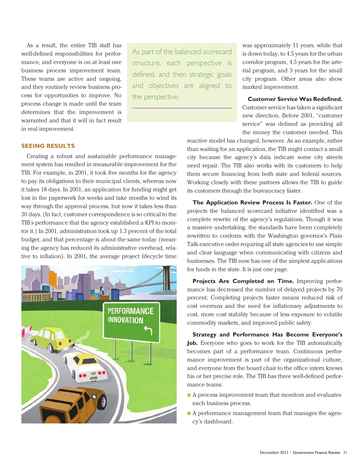As a result, the entire TIB staff has well-defined responsibilities for performance, and everyone is on at least one business process improvement team. These teams are active and ongoing, and they routinely review business process for opportunities to improve. No process change is made until the team determines that the improvement is warranted and that it will in fact result in real improvement.

As part of the balanced scorecard structure, each perspective is defined, and then strategic goals and objectives are aligned to the perspective.

was approximately 11 years, while that is down today, to 4.5 years for the urban corridor program, 4.5 years for the arterial program, and 3 years for the small city program. Other areas also show marked improvement.

### **Customer Service Was Redefined.**

Customer service has taken a significant new direction. Before 2001, "customer service" was defined as providing all the money the customer needed. This

#### **SEEING RESULTS**

Creating a robust and sustainable performance management system has resulted in measurable improvement for the TIB. For example, in 2001, it took five months for the agency to pay its obligations to their municipal clients, whereas now it takes 18 days. In 2001, an application for funding might get lost in the paperwork for weeks and take months to wind its way through the approval process, but now it takes less than 30 days. (In fact, customer correspondence is so critical to the TIB's performance that the agency established a KPI to monitor it.) In 2001, administration took up 1.3 percent of the total budget, and that percentage is about the same today (meaning the agency has reduced its administrative overhead, relative to inflation). In 2001, the average project lifecycle time



reactive model has changed, however. As an example, rather than waiting for an application, the TIB might contact a small city because the agency's data indicate some city streets need repair. The TIB also works with its customers to help them secure financing from both state and federal sources. Working closely with these partners allows the TIB to guide its customers through the bureaucracy faster.

**The Application Review Process Is Faster.** One of the projects the balanced scorecard initiative identified was a complete rewrite of the agency's regulations. Though it was a massive undertaking, the standards have been completely rewritten to conform with the Washington governor's Plain Talk executive order requiring all state agencies to use simple and clear language when communicating with citizens and businesses. The TIB now has one of the simplest applications for funds in the state. It is just one page.

**Projects Are Completed on Time.** Improving performance has decreased the number of delayed projects by 70 percent. Completing projects faster means reduced risk of cost overruns and the need for inflationary adjustments to cost, more cost stability because of less exposure to volatile commodity markets, and improved public safety.

**Strategy and Performance Has Become Everyone's Job.** Everyone who goes to work for the TIB automatically becomes part of a performance team. Continuous performance improvement is part of the organizational culture, and everyone from the board chair to the office intern knows his or her precise role. The TIB has three well-defined performance teams:

- $\blacksquare$  A process improvement team that monitors and evaluates each business process.
- $\blacksquare$  A performance management team that manages the agency's dashboard.